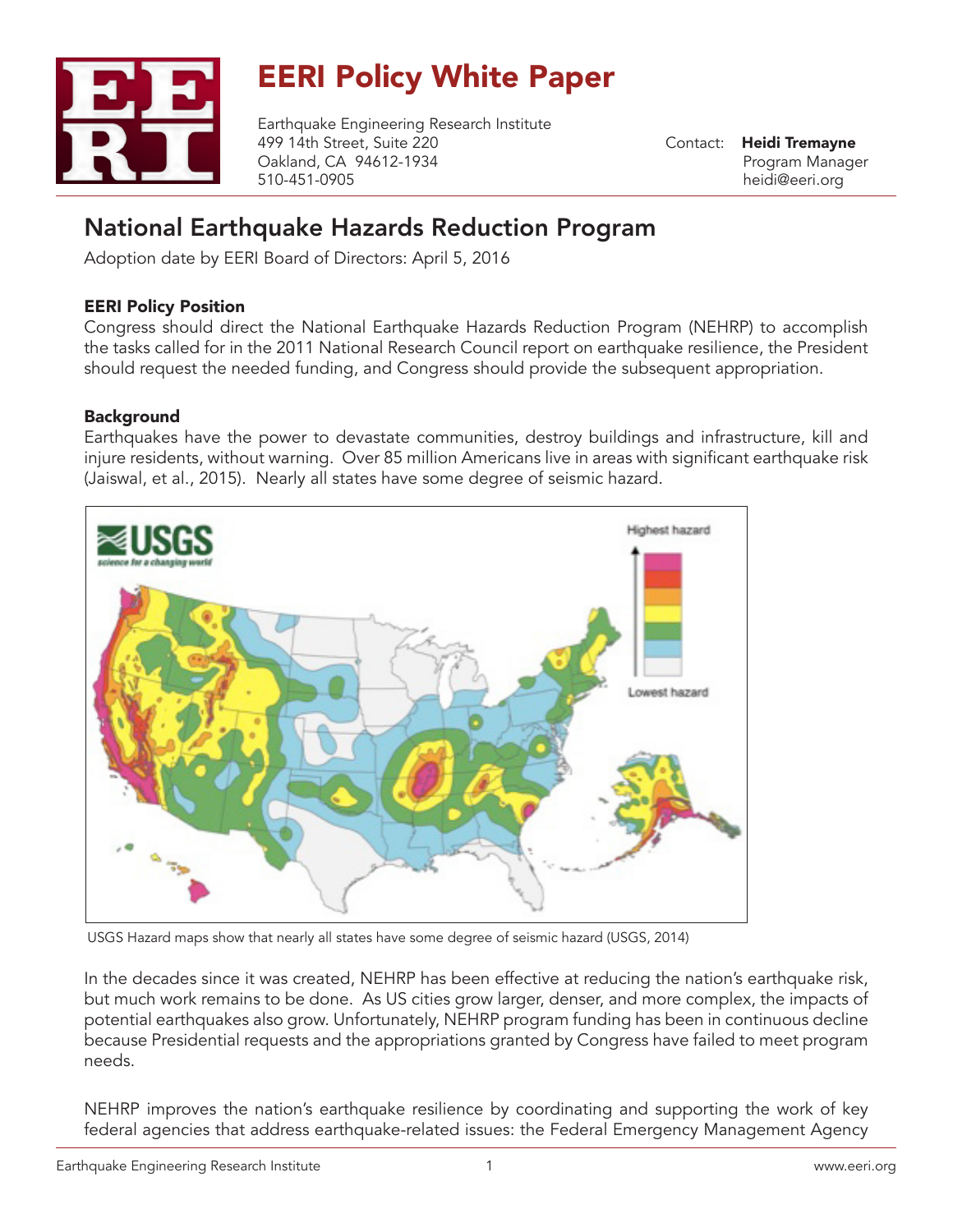

# EERI Policy White Paper

Earthquake Engineering Research Institute 499 14th Street, Suite 220 Oakland, CA 94612-1934 510-451-0905

Contact: Heidi Tremayne Program Manager heidi@eeri.org

## National Earthquake Hazards Reduction Program

Adoption date by EERI Board of Directors: April 5, 2016

#### EERI Policy Position

Congress should direct the National Earthquake Hazards Reduction Program (NEHRP) to accomplish the tasks called for in the 2011 National Research Council report on earthquake resilience, the President should request the needed funding, and Congress should provide the subsequent appropriation.

### Background

Earthquakes have the power to devastate communities, destroy buildings and infrastructure, kill and injure residents, without warning. Over 85 million Americans live in areas with significant earthquake risk (Jaiswal, et al., 2015). Nearly all states have some degree of seismic hazard.



USGS Hazard maps show that nearly all states have some degree of seismic hazard (USGS, 2014)

In the decades since it was created, NEHRP has been effective at reducing the nation's earthquake risk, but much work remains to be done. As US cities grow larger, denser, and more complex, the impacts of potential earthquakes also grow. Unfortunately, NEHRP program funding has been in continuous decline because Presidential requests and the appropriations granted by Congress have failed to meet program needs.

NEHRP improves the nation's earthquake resilience by coordinating and supporting the work of key federal agencies that address earthquake-related issues: the Federal Emergency Management Agency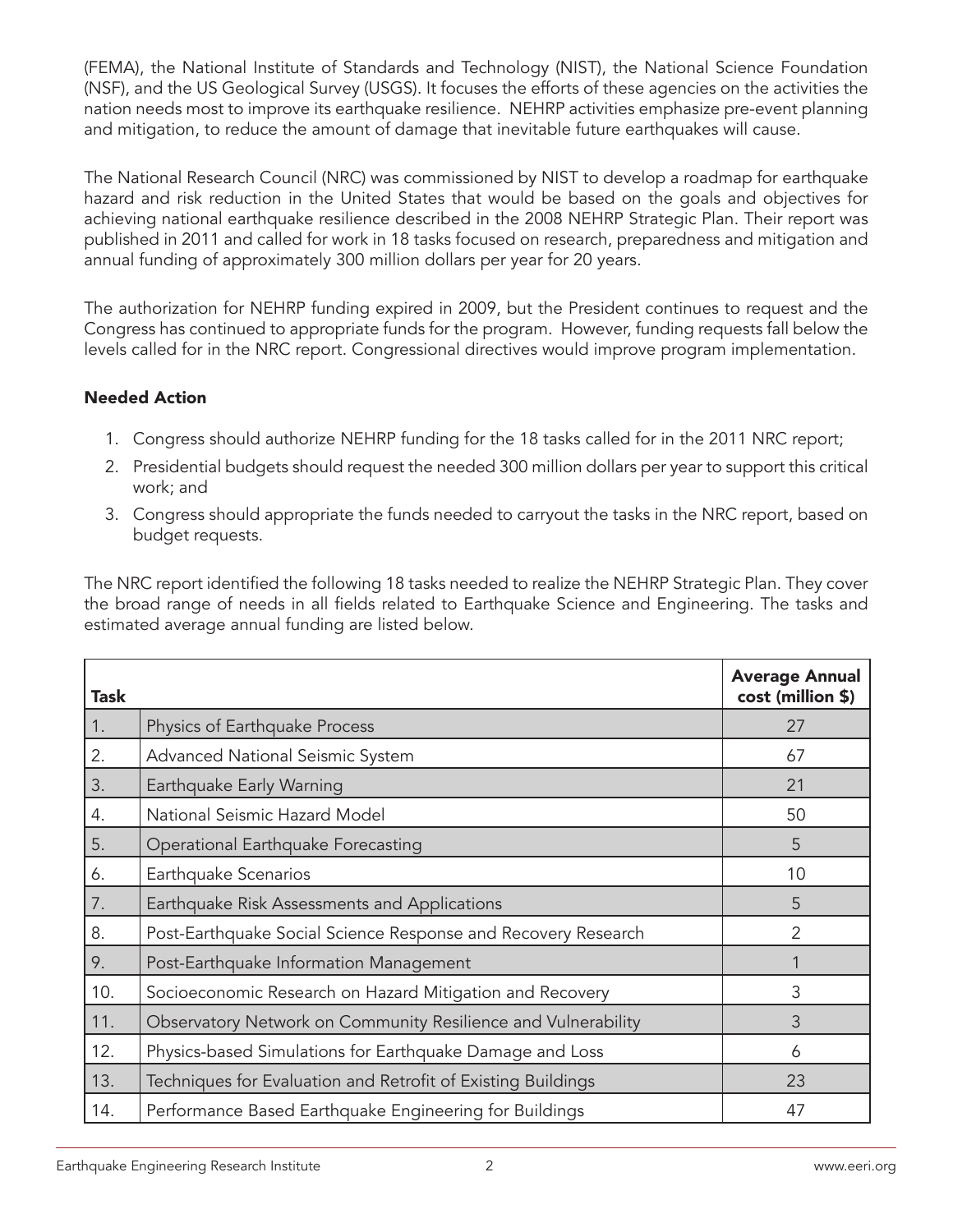(FEMA), the National Institute of Standards and Technology (NIST), the National Science Foundation (NSF), and the US Geological Survey (USGS). It focuses the efforts of these agencies on the activities the nation needs most to improve its earthquake resilience. NEHRP activities emphasize pre-event planning and mitigation, to reduce the amount of damage that inevitable future earthquakes will cause.

The National Research Council (NRC) was commissioned by NIST to develop a roadmap for earthquake hazard and risk reduction in the United States that would be based on the goals and objectives for achieving national earthquake resilience described in the 2008 NEHRP Strategic Plan. Their report was published in 2011 and called for work in 18 tasks focused on research, preparedness and mitigation and annual funding of approximately 300 million dollars per year for 20 years.

The authorization for NEHRP funding expired in 2009, but the President continues to request and the Congress has continued to appropriate funds for the program. However, funding requests fall below the levels called for in the NRC report. Congressional directives would improve program implementation.

#### Needed Action

- 1. Congress should authorize NEHRP funding for the 18 tasks called for in the 2011 NRC report;
- 2. Presidential budgets should request the needed 300 million dollars per year to support this critical work; and
- 3. Congress should appropriate the funds needed to carryout the tasks in the NRC report, based on budget requests.

The NRC report identified the following 18 tasks needed to realize the NEHRP Strategic Plan. They cover the broad range of needs in all fields related to Earthquake Science and Engineering. The tasks and estimated average annual funding are listed below.

| <b>Task</b> |                                                               | <b>Average Annual</b><br>cost (million \$) |
|-------------|---------------------------------------------------------------|--------------------------------------------|
| 1.          | Physics of Earthquake Process                                 | 27                                         |
| 2.          | Advanced National Seismic System                              | 67                                         |
| 3.          | Earthquake Early Warning                                      | 21                                         |
| 4.          | National Seismic Hazard Model                                 | 50                                         |
| 5.          | Operational Earthquake Forecasting                            | 5                                          |
| 6.          | Earthquake Scenarios                                          | 10                                         |
| 7.          | Earthquake Risk Assessments and Applications                  | 5                                          |
| 8.          | Post-Earthquake Social Science Response and Recovery Research | $\overline{2}$                             |
| 9.          | Post-Earthquake Information Management                        |                                            |
| 10.         | Socioeconomic Research on Hazard Mitigation and Recovery      | 3                                          |
| 11.         | Observatory Network on Community Resilience and Vulnerability | 3                                          |
| 12.         | Physics-based Simulations for Earthquake Damage and Loss      | 6                                          |
| 13.         | Techniques for Evaluation and Retrofit of Existing Buildings  | 23                                         |
| 14.         | Performance Based Earthquake Engineering for Buildings        | 47                                         |